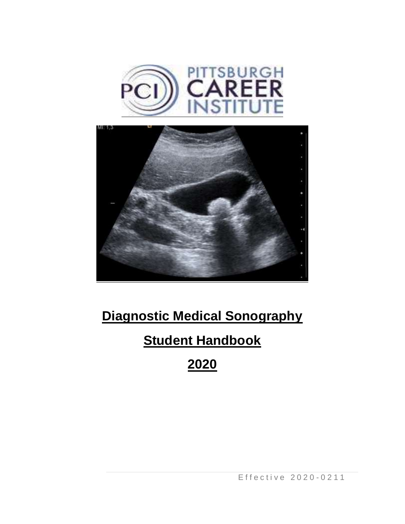



# **Diagnostic Medical Sonography**

# **Student Handbook**

**2020**

E f f e c t i v e 2 0 2 0 - 0 2 1 1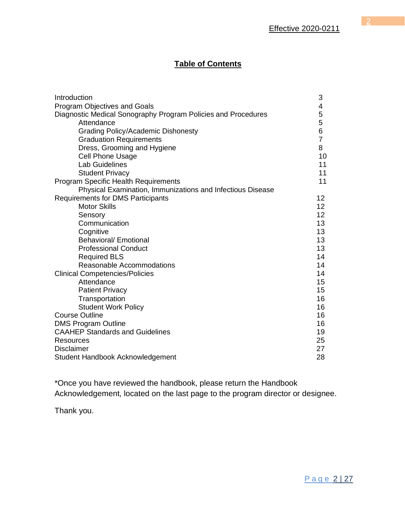# **Table of Contents**

| Introduction                                                  | 3               |
|---------------------------------------------------------------|-----------------|
| <b>Program Objectives and Goals</b>                           | 4               |
| Diagnostic Medical Sonography Program Policies and Procedures | 5               |
| Attendance                                                    | 5               |
| <b>Grading Policy/Academic Dishonesty</b>                     | 6               |
| <b>Graduation Requirements</b>                                | $\overline{7}$  |
| Dress, Grooming and Hygiene                                   | 8               |
| <b>Cell Phone Usage</b>                                       | 10              |
| <b>Lab Guidelines</b>                                         | 11              |
| <b>Student Privacy</b>                                        | 11              |
| <b>Program Specific Health Requirements</b>                   | 11              |
| Physical Examination, Immunizations and Infectious Disease    |                 |
| <b>Requirements for DMS Participants</b>                      | 12              |
| <b>Motor Skills</b>                                           | 12 <sup>2</sup> |
| Sensory                                                       | 12              |
| Communication                                                 | 13              |
| Cognitive                                                     | 13              |
| <b>Behavioral/ Emotional</b>                                  | 13              |
| <b>Professional Conduct</b>                                   | 13              |
| <b>Required BLS</b>                                           | 14              |
| Reasonable Accommodations                                     | 14              |
| <b>Clinical Competencies/Policies</b>                         | 14              |
| Attendance                                                    | 15              |
| <b>Patient Privacy</b>                                        | 15              |
| Transportation                                                | 16              |
| <b>Student Work Policy</b>                                    | 16              |
| <b>Course Outline</b>                                         | 16              |
| <b>DMS Program Outline</b>                                    | 16              |
| <b>CAAHEP Standards and Guidelines</b>                        | 19              |
| <b>Resources</b>                                              | 25              |
| <b>Disclaimer</b>                                             | 27              |
| Student Handbook Acknowledgement                              | 28              |

\*Once you have reviewed the handbook, please return the Handbook Acknowledgement, located on the last page to the program director or designee.

Thank you.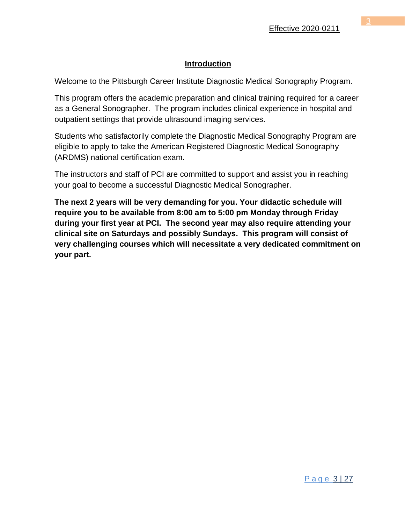## **Introduction**

Welcome to the Pittsburgh Career Institute Diagnostic Medical Sonography Program.

This program offers the academic preparation and clinical training required for a career as a General Sonographer. The program includes clinical experience in hospital and outpatient settings that provide ultrasound imaging services.

Students who satisfactorily complete the Diagnostic Medical Sonography Program are eligible to apply to take the American Registered Diagnostic Medical Sonography (ARDMS) national certification exam.

The instructors and staff of PCI are committed to support and assist you in reaching your goal to become a successful Diagnostic Medical Sonographer.

**The next 2 years will be very demanding for you. Your didactic schedule will require you to be available from 8:00 am to 5:00 pm Monday through Friday during your first year at PCI. The second year may also require attending your clinical site on Saturdays and possibly Sundays. This program will consist of very challenging courses which will necessitate a very dedicated commitment on your part.**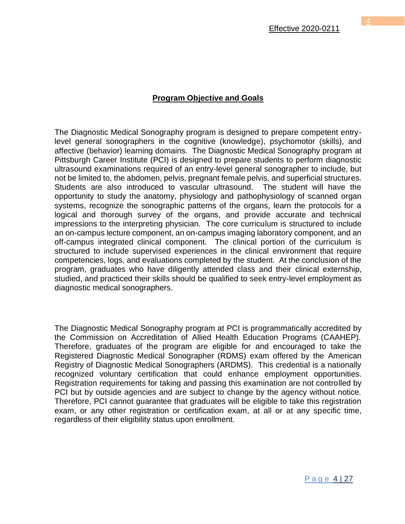The Diagnostic Medical Sonography program is designed to prepare competent entrylevel general sonographers in the cognitive (knowledge), psychomotor (skills), and affective (behavior) learning domains. The Diagnostic Medical Sonography program at Pittsburgh Career Institute (PCI) is designed to prepare students to perform diagnostic ultrasound examinations required of an entry-level general sonographer to include, but not be limited to, the abdomen, pelvis, pregnant female pelvis, and superficial structures. Students are also introduced to vascular ultrasound. The student will have the opportunity to study the anatomy, physiology and pathophysiology of scanned organ systems, recognize the sonographic patterns of the organs, learn the protocols for a logical and thorough survey of the organs, and provide accurate and technical impressions to the interpreting physician. The core curriculum is structured to include an on-campus lecture component, an on-campus imaging laboratory component, and an off-campus integrated clinical component. The clinical portion of the curriculum is structured to include supervised experiences in the clinical environment that require competencies, logs, and evaluations completed by the student. At the conclusion of the program, graduates who have diligently attended class and their clinical externship, studied, and practiced their skills should be qualified to seek entry-level employment as diagnostic medical sonographers.

The Diagnostic Medical Sonography program at PCI is programmatically accredited by the Commission on Accreditation of Allied Health Education Programs (CAAHEP). Therefore, graduates of the program are eligible for and encouraged to take the Registered Diagnostic Medical Sonographer (RDMS) exam offered by the American Registry of Diagnostic Medical Sonographers (ARDMS). This credential is a nationally recognized voluntary certification that could enhance employment opportunities. Registration requirements for taking and passing this examination are not controlled by PCI but by outside agencies and are subject to change by the agency without notice. Therefore, PCI cannot guarantee that graduates will be eligible to take this registration exam, or any other registration or certification exam, at all or at any specific time, regardless of their eligibility status upon enrollment.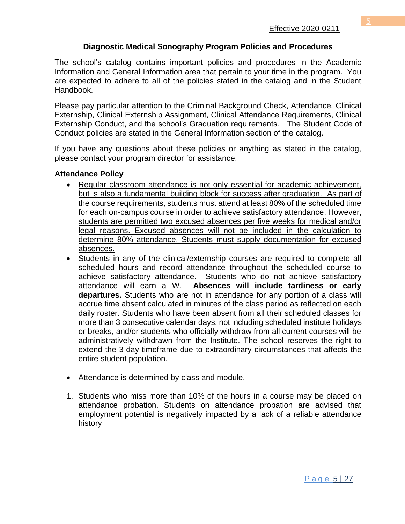## **Diagnostic Medical Sonography Program Policies and Procedures**

The school's catalog contains important policies and procedures in the Academic Information and General Information area that pertain to your time in the program. You are expected to adhere to all of the policies stated in the catalog and in the Student Handbook.

Please pay particular attention to the Criminal Background Check, Attendance, Clinical Externship, Clinical Externship Assignment, Clinical Attendance Requirements, Clinical Externship Conduct, and the school's Graduation requirements. The Student Code of Conduct policies are stated in the General Information section of the catalog.

If you have any questions about these policies or anything as stated in the catalog, please contact your program director for assistance.

#### **Attendance Policy**

- Regular classroom attendance is not only essential for academic achievement, but is also a fundamental building block for success after graduation. As part of the course requirements, students must attend at least 80% of the scheduled time for each on-campus course in order to achieve satisfactory attendance. However, students are permitted two excused absences per five weeks for medical and/or legal reasons. Excused absences will not be included in the calculation to determine 80% attendance. Students must supply documentation for excused absences.
- Students in any of the clinical/externship courses are required to complete all scheduled hours and record attendance throughout the scheduled course to achieve satisfactory attendance. Students who do not achieve satisfactory attendance will earn a W. **Absences will include tardiness or early departures.** Students who are not in attendance for any portion of a class will accrue time absent calculated in minutes of the class period as reflected on each daily roster. Students who have been absent from all their scheduled classes for more than 3 consecutive calendar days, not including scheduled institute holidays or breaks, and/or students who officially withdraw from all current courses will be administratively withdrawn from the Institute. The school reserves the right to extend the 3-day timeframe due to extraordinary circumstances that affects the entire student population.
- Attendance is determined by class and module.
- 1. Students who miss more than 10% of the hours in a course may be placed on attendance probation. Students on attendance probation are advised that employment potential is negatively impacted by a lack of a reliable attendance history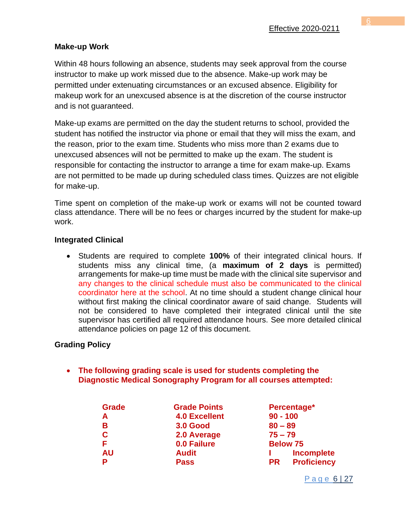## **Make-up Work**

Within 48 hours following an absence, students may seek approval from the course instructor to make up work missed due to the absence. Make-up work may be permitted under extenuating circumstances or an excused absence. Eligibility for makeup work for an unexcused absence is at the discretion of the course instructor and is not guaranteed.

Make-up exams are permitted on the day the student returns to school, provided the student has notified the instructor via phone or email that they will miss the exam, and the reason, prior to the exam time. Students who miss more than 2 exams due to unexcused absences will not be permitted to make up the exam. The student is responsible for contacting the instructor to arrange a time for exam make-up. Exams are not permitted to be made up during scheduled class times. Quizzes are not eligible for make-up.

Time spent on completion of the make-up work or exams will not be counted toward class attendance. There will be no fees or charges incurred by the student for make-up work.

## **Integrated Clinical**

• Students are required to complete **100%** of their integrated clinical hours. If students miss any clinical time, (a **maximum of 2 days** is permitted) arrangements for make-up time must be made with the clinical site supervisor and any changes to the clinical schedule must also be communicated to the clinical coordinator here at the school. At no time should a student change clinical hour without first making the clinical coordinator aware of said change. Students will not be considered to have completed their integrated clinical until the site supervisor has certified all required attendance hours. See more detailed clinical attendance policies on page 12 of this document.

## **Grading Policy**

• **The following grading scale is used for students completing the Diagnostic Medical Sonography Program for all courses attempted:** 

| <b>Grade</b> | <b>Grade Points</b>  | Percentage*                     |  |  |
|--------------|----------------------|---------------------------------|--|--|
| A            | <b>4.0 Excellent</b> | $90 - 100$                      |  |  |
| в            | <b>3.0 Good</b>      | $80 - 89$                       |  |  |
| C            | 2.0 Average          | $75 - 79$                       |  |  |
| F            | 0.0 Failure          | <b>Below 75</b>                 |  |  |
| <b>AU</b>    | <b>Audit</b>         | <b>Incomplete</b>               |  |  |
| P            | <b>Pass</b>          | <b>Proficiency</b><br><b>PR</b> |  |  |

P a g e 6 | 27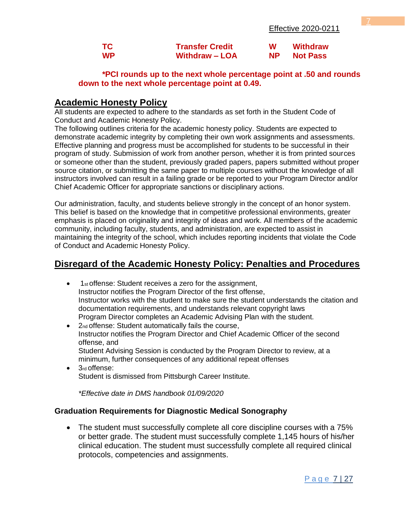| <b>TC</b> | <b>Transfer Credit</b> | W   | <b>Withdraw</b> |
|-----------|------------------------|-----|-----------------|
| <b>WP</b> | <b>Withdraw - LOA</b>  | NP. | <b>Not Pass</b> |

#### **\*PCI rounds up to the next whole percentage point at .50 and rounds down to the next whole percentage point at 0.49.**

#### **Academic Honesty Policy**

All students are expected to adhere to the standards as set forth in the Student Code of Conduct and Academic Honesty Policy.

The following outlines criteria for the academic honesty policy. Students are expected to demonstrate academic integrity by completing their own work assignments and assessments. Effective planning and progress must be accomplished for students to be successful in their program of study. Submission of work from another person, whether it is from printed sources or someone other than the student, previously graded papers, papers submitted without proper source citation, or submitting the same paper to multiple courses without the knowledge of all instructors involved can result in a failing grade or be reported to your Program Director and/or Chief Academic Officer for appropriate sanctions or disciplinary actions.

Our administration, faculty, and students believe strongly in the concept of an honor system. This belief is based on the knowledge that in competitive professional environments, greater emphasis is placed on originality and integrity of ideas and work. All members of the academic community, including faculty, students, and administration, are expected to assist in maintaining the integrity of the school, which includes reporting incidents that violate the Code of Conduct and Academic Honesty Policy.

# **Disregard of the Academic Honesty Policy: Penalties and Procedures**

- 1st offense: Student receives a zero for the assignment, Instructor notifies the Program Director of the first offense, Instructor works with the student to make sure the student understands the citation and documentation requirements, and understands relevant copyright laws Program Director completes an Academic Advising Plan with the student.
- 2nd offense: Student automatically fails the course, Instructor notifies the Program Director and Chief Academic Officer of the second offense, and Student Advising Session is conducted by the Program Director to review, at a minimum, further consequences of any additional repeat offenses
- 3rd offense: Student is dismissed from Pittsburgh Career Institute.

*\*Effective date in DMS handbook 01/09/2020*

#### **Graduation Requirements for Diagnostic Medical Sonography**

• The student must successfully complete all core discipline courses with a 75% or better grade. The student must successfully complete 1,145 hours of his/her clinical education. The student must successfully complete all required clinical protocols, competencies and assignments.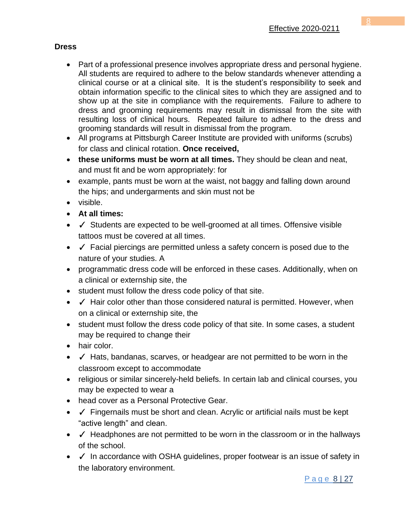# **Dress**

- Part of a professional presence involves appropriate dress and personal hygiene. All students are required to adhere to the below standards whenever attending a clinical course or at a clinical site. It is the student's responsibility to seek and obtain information specific to the clinical sites to which they are assigned and to show up at the site in compliance with the requirements. Failure to adhere to dress and grooming requirements may result in dismissal from the site with resulting loss of clinical hours. Repeated failure to adhere to the dress and grooming standards will result in dismissal from the program.
- All programs at Pittsburgh Career Institute are provided with uniforms (scrubs) for class and clinical rotation. **Once received,**
- **these uniforms must be worn at all times.** They should be clean and neat, and must fit and be worn appropriately: for
- example, pants must be worn at the waist, not baggy and falling down around the hips; and undergarments and skin must not be
- visible.
- **At all times:**
- √ Students are expected to be well-groomed at all times. Offensive visible tattoos must be covered at all times.
- ✓ Facial piercings are permitted unless a safety concern is posed due to the nature of your studies. A
- programmatic dress code will be enforced in these cases. Additionally, when on a clinical or externship site, the
- student must follow the dress code policy of that site.
- √ Hair color other than those considered natural is permitted. However, when on a clinical or externship site, the
- student must follow the dress code policy of that site. In some cases, a student may be required to change their
- hair color.
- ✓ Hats, bandanas, scarves, or headgear are not permitted to be worn in the classroom except to accommodate
- religious or similar sincerely-held beliefs. In certain lab and clinical courses, you may be expected to wear a
- head cover as a Personal Protective Gear.
- √ Fingernails must be short and clean. Acrylic or artificial nails must be kept "active length" and clean.
- $\checkmark$  Headphones are not permitted to be worn in the classroom or in the hallways of the school.
- √ In accordance with OSHA guidelines, proper footwear is an issue of safety in the laboratory environment.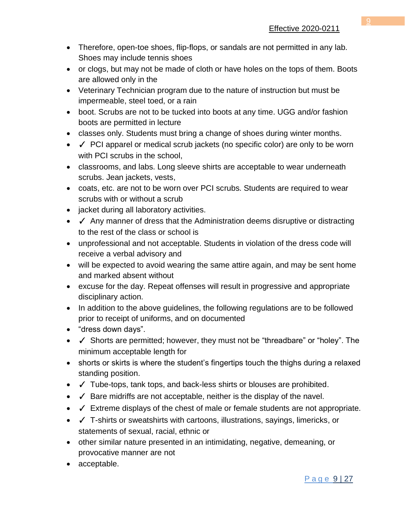- Therefore, open-toe shoes, flip-flops, or sandals are not permitted in any lab. Shoes may include tennis shoes
- or clogs, but may not be made of cloth or have holes on the tops of them. Boots are allowed only in the
- Veterinary Technician program due to the nature of instruction but must be impermeable, steel toed, or a rain
- boot. Scrubs are not to be tucked into boots at any time. UGG and/or fashion boots are permitted in lecture
- classes only. Students must bring a change of shoes during winter months.
- ✓ PCI apparel or medical scrub jackets (no specific color) are only to be worn with PCI scrubs in the school.
- classrooms, and labs. Long sleeve shirts are acceptable to wear underneath scrubs. Jean jackets, vests,
- coats, etc. are not to be worn over PCI scrubs. Students are required to wear scrubs with or without a scrub
- jacket during all laboratory activities.
- √ Any manner of dress that the Administration deems disruptive or distracting to the rest of the class or school is
- unprofessional and not acceptable. Students in violation of the dress code will receive a verbal advisory and
- will be expected to avoid wearing the same attire again, and may be sent home and marked absent without
- excuse for the day. Repeat offenses will result in progressive and appropriate disciplinary action.
- In addition to the above guidelines, the following regulations are to be followed prior to receipt of uniforms, and on documented
- "dress down days".
- ✓ Shorts are permitted; however, they must not be "threadbare" or "holey". The minimum acceptable length for
- shorts or skirts is where the student's fingertips touch the thighs during a relaxed standing position.
- ✓ Tube-tops, tank tops, and back-less shirts or blouses are prohibited.
- ✓ Bare midriffs are not acceptable, neither is the display of the navel.
- ✓ Extreme displays of the chest of male or female students are not appropriate.
- ✓ T-shirts or sweatshirts with cartoons, illustrations, sayings, limericks, or statements of sexual, racial, ethnic or
- other similar nature presented in an intimidating, negative, demeaning, or provocative manner are not
- acceptable.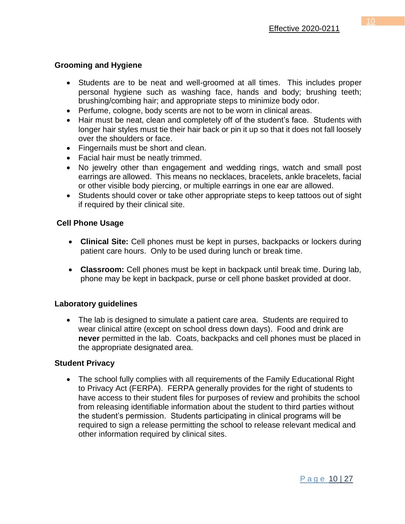#### **Grooming and Hygiene**

- Students are to be neat and well-groomed at all times. This includes proper personal hygiene such as washing face, hands and body; brushing teeth; brushing/combing hair; and appropriate steps to minimize body odor.
- Perfume, cologne, body scents are not to be worn in clinical areas.
- Hair must be neat, clean and completely off of the student's face. Students with longer hair styles must tie their hair back or pin it up so that it does not fall loosely over the shoulders or face.
- Fingernails must be short and clean.
- Facial hair must be neatly trimmed.
- No jewelry other than engagement and wedding rings, watch and small post earrings are allowed. This means no necklaces, bracelets, ankle bracelets, facial or other visible body piercing, or multiple earrings in one ear are allowed.
- Students should cover or take other appropriate steps to keep tattoos out of sight if required by their clinical site.

#### **Cell Phone Usage**

- **Clinical Site:** Cell phones must be kept in purses, backpacks or lockers during patient care hours. Only to be used during lunch or break time.
- **Classroom:** Cell phones must be kept in backpack until break time. During lab, phone may be kept in backpack, purse or cell phone basket provided at door.

#### **Laboratory guidelines**

• The lab is designed to simulate a patient care area. Students are required to wear clinical attire (except on school dress down days). Food and drink are **never** permitted in the lab. Coats, backpacks and cell phones must be placed in the appropriate designated area.

#### **Student Privacy**

• The school fully complies with all requirements of the Family Educational Right to Privacy Act (FERPA). FERPA generally provides for the right of students to have access to their student files for purposes of review and prohibits the school from releasing identifiable information about the student to third parties without the student's permission. Students participating in clinical programs will be required to sign a release permitting the school to release relevant medical and other information required by clinical sites.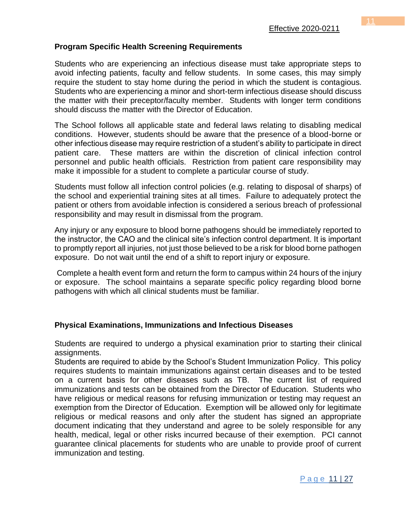#### **Program Specific Health Screening Requirements**

Students who are experiencing an infectious disease must take appropriate steps to avoid infecting patients, faculty and fellow students. In some cases, this may simply require the student to stay home during the period in which the student is contagious. Students who are experiencing a minor and short-term infectious disease should discuss the matter with their preceptor/faculty member. Students with longer term conditions should discuss the matter with the Director of Education.

The School follows all applicable state and federal laws relating to disabling medical conditions. However, students should be aware that the presence of a blood-borne or other infectious disease may require restriction of a student's ability to participate in direct patient care. These matters are within the discretion of clinical infection control personnel and public health officials. Restriction from patient care responsibility may make it impossible for a student to complete a particular course of study.

Students must follow all infection control policies (e.g. relating to disposal of sharps) of the school and experiential training sites at all times. Failure to adequately protect the patient or others from avoidable infection is considered a serious breach of professional responsibility and may result in dismissal from the program.

Any injury or any exposure to blood borne pathogens should be immediately reported to the instructor, the CAO and the clinical site's infection control department. It is important to promptly report all injuries, not just those believed to be a risk for blood borne pathogen exposure. Do not wait until the end of a shift to report injury or exposure.

Complete a health event form and return the form to campus within 24 hours of the injury or exposure. The school maintains a separate specific policy regarding blood borne pathogens with which all clinical students must be familiar.

#### **Physical Examinations, Immunizations and Infectious Diseases**

Students are required to undergo a physical examination prior to starting their clinical assignments.

Students are required to abide by the School's Student Immunization Policy. This policy requires students to maintain immunizations against certain diseases and to be tested on a current basis for other diseases such as TB. The current list of required immunizations and tests can be obtained from the Director of Education. Students who have religious or medical reasons for refusing immunization or testing may request an exemption from the Director of Education. Exemption will be allowed only for legitimate religious or medical reasons and only after the student has signed an appropriate document indicating that they understand and agree to be solely responsible for any health, medical, legal or other risks incurred because of their exemption. PCI cannot guarantee clinical placements for students who are unable to provide proof of current immunization and testing.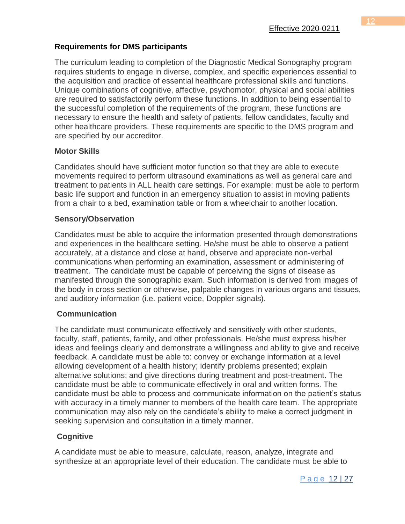## **Requirements for DMS participants**

The curriculum leading to completion of the Diagnostic Medical Sonography program requires students to engage in diverse, complex, and specific experiences essential to the acquisition and practice of essential healthcare professional skills and functions. Unique combinations of cognitive, affective, psychomotor, physical and social abilities are required to satisfactorily perform these functions. In addition to being essential to the successful completion of the requirements of the program, these functions are necessary to ensure the health and safety of patients, fellow candidates, faculty and other healthcare providers. These requirements are specific to the DMS program and are specified by our accreditor.

#### **Motor Skills**

Candidates should have sufficient motor function so that they are able to execute movements required to perform ultrasound examinations as well as general care and treatment to patients in ALL health care settings. For example: must be able to perform basic life support and function in an emergency situation to assist in moving patients from a chair to a bed, examination table or from a wheelchair to another location.

#### **Sensory/Observation**

Candidates must be able to acquire the information presented through demonstrations and experiences in the healthcare setting. He/she must be able to observe a patient accurately, at a distance and close at hand, observe and appreciate non-verbal communications when performing an examination, assessment or administering of treatment. The candidate must be capable of perceiving the signs of disease as manifested through the sonographic exam. Such information is derived from images of the body in cross section or otherwise, palpable changes in various organs and tissues, and auditory information (i.e. patient voice, Doppler signals).

## **Communication**

The candidate must communicate effectively and sensitively with other students, faculty, staff, patients, family, and other professionals. He/she must express his/her ideas and feelings clearly and demonstrate a willingness and ability to give and receive feedback. A candidate must be able to: convey or exchange information at a level allowing development of a health history; identify problems presented; explain alternative solutions; and give directions during treatment and post-treatment. The candidate must be able to communicate effectively in oral and written forms. The candidate must be able to process and communicate information on the patient's status with accuracy in a timely manner to members of the health care team. The appropriate communication may also rely on the candidate's ability to make a correct judgment in seeking supervision and consultation in a timely manner.

## **Cognitive**

A candidate must be able to measure, calculate, reason, analyze, integrate and synthesize at an appropriate level of their education. The candidate must be able to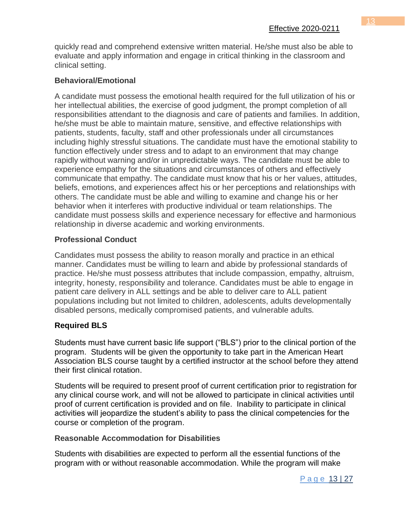quickly read and comprehend extensive written material. He/she must also be able to evaluate and apply information and engage in critical thinking in the classroom and clinical setting.

# **Behavioral/Emotional**

A candidate must possess the emotional health required for the full utilization of his or her intellectual abilities, the exercise of good judgment, the prompt completion of all responsibilities attendant to the diagnosis and care of patients and families. In addition, he/she must be able to maintain mature, sensitive, and effective relationships with patients, students, faculty, staff and other professionals under all circumstances including highly stressful situations. The candidate must have the emotional stability to function effectively under stress and to adapt to an environment that may change rapidly without warning and/or in unpredictable ways. The candidate must be able to experience empathy for the situations and circumstances of others and effectively communicate that empathy. The candidate must know that his or her values, attitudes, beliefs, emotions, and experiences affect his or her perceptions and relationships with others. The candidate must be able and willing to examine and change his or her behavior when it interferes with productive individual or team relationships. The candidate must possess skills and experience necessary for effective and harmonious relationship in diverse academic and working environments.

# **Professional Conduct**

Candidates must possess the ability to reason morally and practice in an ethical manner. Candidates must be willing to learn and abide by professional standards of practice. He/she must possess attributes that include compassion, empathy, altruism, integrity, honesty, responsibility and tolerance. Candidates must be able to engage in patient care delivery in ALL settings and be able to deliver care to ALL patient populations including but not limited to children, adolescents, adults developmentally disabled persons, medically compromised patients, and vulnerable adults.

# **Required BLS**

Students must have current basic life support ("BLS") prior to the clinical portion of the program. Students will be given the opportunity to take part in the American Heart Association BLS course taught by a certified instructor at the school before they attend their first clinical rotation.

Students will be required to present proof of current certification prior to registration for any clinical course work, and will not be allowed to participate in clinical activities until proof of current certification is provided and on file. Inability to participate in clinical activities will jeopardize the student's ability to pass the clinical competencies for the course or completion of the program.

## **Reasonable Accommodation for Disabilities**

Students with disabilities are expected to perform all the essential functions of the program with or without reasonable accommodation. While the program will make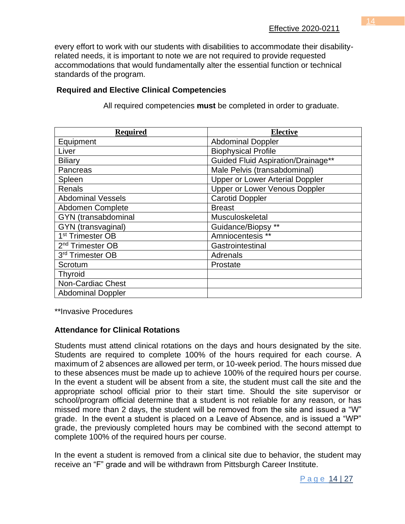every effort to work with our students with disabilities to accommodate their disabilityrelated needs, it is important to note we are not required to provide requested accommodations that would fundamentally alter the essential function or technical standards of the program.

# **Required and Elective Clinical Competencies**

| <b>Required</b>              | <b>Elective</b>                           |
|------------------------------|-------------------------------------------|
| Equipment                    | <b>Abdominal Doppler</b>                  |
| Liver                        | <b>Biophysical Profile</b>                |
| <b>Biliary</b>               | <b>Guided Fluid Aspiration/Drainage**</b> |
| Pancreas                     | Male Pelvis (transabdominal)              |
| Spleen                       | <b>Upper or Lower Arterial Doppler</b>    |
| <b>Renals</b>                | Upper or Lower Venous Doppler             |
| <b>Abdominal Vessels</b>     | <b>Carotid Doppler</b>                    |
| Abdomen Complete             | <b>Breast</b>                             |
| GYN (transabdominal          | Musculoskeletal                           |
| GYN (transvaginal)           | Guidance/Biopsy **                        |
| 1 <sup>st</sup> Trimester OB | Amniocentesis **                          |
| 2 <sup>nd</sup> Trimester OB | Gastrointestinal                          |
| 3rd Trimester OB             | Adrenals                                  |
| Scrotum                      | Prostate                                  |
| <b>Thyroid</b>               |                                           |
| <b>Non-Cardiac Chest</b>     |                                           |
| <b>Abdominal Doppler</b>     |                                           |

All required competencies **must** be completed in order to graduate.

\*\*Invasive Procedures

## **Attendance for Clinical Rotations**

Students must attend clinical rotations on the days and hours designated by the site. Students are required to complete 100% of the hours required for each course. A maximum of 2 absences are allowed per term, or 10-week period. The hours missed due to these absences must be made up to achieve 100% of the required hours per course. In the event a student will be absent from a site, the student must call the site and the appropriate school official prior to their start time. Should the site supervisor or school/program official determine that a student is not reliable for any reason, or has missed more than 2 days, the student will be removed from the site and issued a "W" grade. In the event a student is placed on a Leave of Absence, and is issued a "WP" grade, the previously completed hours may be combined with the second attempt to complete 100% of the required hours per course.

In the event a student is removed from a clinical site due to behavior, the student may receive an "F" grade and will be withdrawn from Pittsburgh Career Institute.

P a g e 14 | 27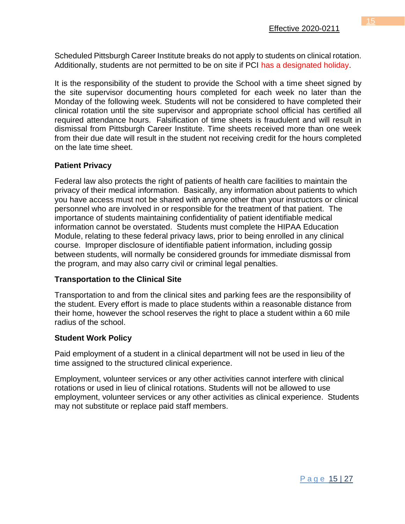Scheduled Pittsburgh Career Institute breaks do not apply to students on clinical rotation. Additionally, students are not permitted to be on site if PCI has a designated holiday.

It is the responsibility of the student to provide the School with a time sheet signed by the site supervisor documenting hours completed for each week no later than the Monday of the following week. Students will not be considered to have completed their clinical rotation until the site supervisor and appropriate school official has certified all required attendance hours. Falsification of time sheets is fraudulent and will result in dismissal from Pittsburgh Career Institute. Time sheets received more than one week from their due date will result in the student not receiving credit for the hours completed on the late time sheet.

#### **Patient Privacy**

Federal law also protects the right of patients of health care facilities to maintain the privacy of their medical information. Basically, any information about patients to which you have access must not be shared with anyone other than your instructors or clinical personnel who are involved in or responsible for the treatment of that patient. The importance of students maintaining confidentiality of patient identifiable medical information cannot be overstated. Students must complete the HIPAA Education Module, relating to these federal privacy laws, prior to being enrolled in any clinical course. Improper disclosure of identifiable patient information, including gossip between students, will normally be considered grounds for immediate dismissal from the program, and may also carry civil or criminal legal penalties.

#### **Transportation to the Clinical Site**

Transportation to and from the clinical sites and parking fees are the responsibility of the student. Every effort is made to place students within a reasonable distance from their home, however the school reserves the right to place a student within a 60 mile radius of the school.

#### **Student Work Policy**

Paid employment of a student in a clinical department will not be used in lieu of the time assigned to the structured clinical experience.

Employment, volunteer services or any other activities cannot interfere with clinical rotations or used in lieu of clinical rotations. Students will not be allowed to use employment, volunteer services or any other activities as clinical experience. Students may not substitute or replace paid staff members.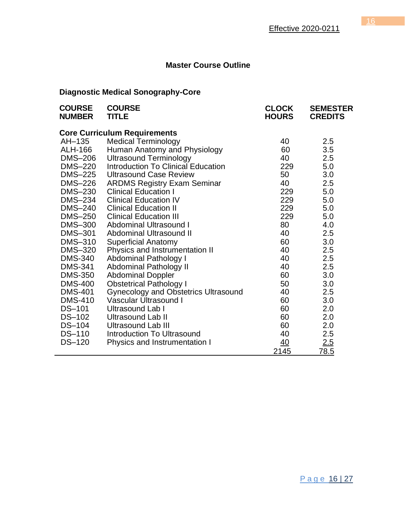# **Master Course Outline**

# **Diagnostic Medical Sonography-Core**

| <b>COURSE</b><br><b>NUMBER</b>      | <b>COURSE</b><br><b>TITLE</b>               | <b>CLOCK</b><br><b>HOURS</b> | <b>SEMESTER</b><br><b>CREDITS</b> |  |  |  |
|-------------------------------------|---------------------------------------------|------------------------------|-----------------------------------|--|--|--|
| <b>Core Curriculum Requirements</b> |                                             |                              |                                   |  |  |  |
| AH-135                              | <b>Medical Terminology</b>                  | 40                           | 2.5                               |  |  |  |
| ALH-166                             | Human Anatomy and Physiology                | 60                           | 3.5                               |  |  |  |
| DMS-206                             | <b>Ultrasound Terminology</b>               | 40                           | 2.5                               |  |  |  |
| DMS-220                             | <b>Introduction To Clinical Education</b>   | 229                          | 5.0                               |  |  |  |
| DMS-225                             | <b>Ultrasound Case Review</b>               | 50                           | 3.0                               |  |  |  |
| DMS-226                             | <b>ARDMS Registry Exam Seminar</b>          | 40                           | 2.5                               |  |  |  |
| <b>DMS-230</b>                      | <b>Clinical Education I</b>                 | 229                          | 5.0                               |  |  |  |
| <b>DMS-234</b>                      | <b>Clinical Education IV</b>                | 229                          | 5.0                               |  |  |  |
| <b>DMS-240</b>                      | <b>Clinical Education II</b>                | 229                          | 5.0                               |  |  |  |
| DMS-250                             | <b>Clinical Education III</b>               | 229                          | 5.0                               |  |  |  |
| <b>DMS-300</b>                      | Abdominal Ultrasound I                      | 80                           | 4.0                               |  |  |  |
| DMS-301                             | Abdominal Ultrasound II                     | 40                           | 2.5                               |  |  |  |
| <b>DMS-310</b>                      | <b>Superficial Anatomy</b>                  | 60                           | 3.0                               |  |  |  |
| DMS-320                             | Physics and Instrumentation II              | 40                           | 2.5                               |  |  |  |
| <b>DMS-340</b>                      | <b>Abdominal Pathology I</b>                | 40                           | 2.5                               |  |  |  |
| <b>DMS-341</b>                      | <b>Abdominal Pathology II</b>               | 40                           | 2.5                               |  |  |  |
| <b>DMS-350</b>                      | <b>Abdominal Doppler</b>                    | 60                           | 3.0                               |  |  |  |
| <b>DMS-400</b>                      | <b>Obstetrical Pathology I</b>              | 50                           | 3.0                               |  |  |  |
| <b>DMS-401</b>                      | <b>Gynecology and Obstetrics Ultrasound</b> | 40                           | 2.5                               |  |  |  |
| <b>DMS-410</b>                      | Vascular Ultrasound I                       | 60                           | 3.0                               |  |  |  |
| DS-101                              | Ultrasound Lab I                            | 60                           | 2.0                               |  |  |  |
| DS-102                              | <b>Ultrasound Lab II</b>                    | 60                           | 2.0                               |  |  |  |
| DS-104                              | <b>Ultrasound Lab III</b>                   | 60                           | 2.0                               |  |  |  |
| <b>DS-110</b>                       | <b>Introduction To Ultrasound</b>           | 40                           | 2.5                               |  |  |  |
| <b>DS-120</b>                       | Physics and Instrumentation I               | 40                           | 2.5                               |  |  |  |
|                                     |                                             | 2145                         | 78.5                              |  |  |  |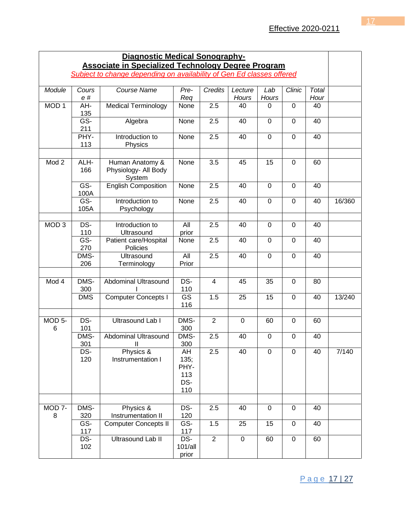| <b>Diagnostic Medical Sonography-</b>                                 |              |                                                   |                                         |                |                  |                |                |               |        |
|-----------------------------------------------------------------------|--------------|---------------------------------------------------|-----------------------------------------|----------------|------------------|----------------|----------------|---------------|--------|
| <b>Associate in Specialized Technology Degree Program</b>             |              |                                                   |                                         |                |                  |                |                |               |        |
| Subject to change depending on availability of Gen Ed classes offered |              |                                                   |                                         |                |                  |                |                |               |        |
| Module                                                                | Cours<br>e # | Course Name                                       | Pre-<br>Req                             | <b>Credits</b> | Lecture<br>Hours | Lab<br>Hours   | Clinic         | Total<br>Hour |        |
| MOD <sub>1</sub>                                                      | AH-<br>135   | <b>Medical Terminology</b>                        | None                                    | 2.5            | 40               | 0              | $\mathbf 0$    | 40            |        |
|                                                                       | GS-<br>211   | Algebra                                           | None                                    | 2.5            | 40               | $\mathbf 0$    | $\mathbf 0$    | 40            |        |
|                                                                       | PHY-<br>113  | Introduction to<br>Physics                        | None                                    | 2.5            | 40               | 0              | $\mathbf 0$    | 40            |        |
| Mod <sub>2</sub>                                                      | ALH-<br>166  | Human Anatomy &<br>Physiology- All Body<br>System | None                                    | 3.5            | 45               | 15             | 0              | 60            |        |
|                                                                       | GS-<br>100A  | <b>English Composition</b>                        | None                                    | 2.5            | 40               | $\overline{0}$ | 0              | 40            |        |
|                                                                       | GS-<br>105A  | Introduction to<br>Psychology                     | None                                    | 2.5            | 40               | $\overline{0}$ | 0              | 40            | 16/360 |
| MOD <sub>3</sub>                                                      | $DS-$<br>110 | Introduction to<br>Ultrasound                     | All<br>prior                            | 2.5            | 40               | $\mathbf 0$    | 0              | 40            |        |
|                                                                       | $GS-$<br>270 | Patient care/Hospital<br>Policies                 | None                                    | 2.5            | 40               | $\mathbf 0$    | $\mathbf 0$    | 40            |        |
|                                                                       | DMS-<br>206  | <b>Ultrasound</b><br>Terminology                  | All<br>Prior                            | 2.5            | 40               | 0              | $\mathbf 0$    | 40            |        |
| Mod 4                                                                 | DMS-<br>300  | Abdominal Ultrasound                              | DS-<br>110                              | $\overline{4}$ | 45               | 35             | 0              | 80            |        |
|                                                                       | <b>DMS</b>   | <b>Computer Concepts I</b>                        | $\overline{\text{GS}}$<br>116           | 1.5            | 25               | 15             | $\overline{0}$ | 40            | 13/240 |
| MOD 5-<br>6                                                           | DS-<br>101   | <b>Ultrasound Lab I</b>                           | DMS-<br>300                             | $\overline{2}$ | $\mathbf 0$      | 60             | 0              | 60            |        |
|                                                                       | DMS-<br>301  | Abdominal Ultrasound<br>$\mathsf{I}$              | DMS-<br>300                             | 2.5            | 40               | $\mathbf 0$    | 0              | 40            |        |
|                                                                       | DS-<br>120   | Physics &<br>Instrumentation I                    | AH<br>135;<br>PHY-<br>113<br>DS-<br>110 | 2.5            | 40               | 0              | $\mathbf 0$    | 40            | 7/140  |
|                                                                       |              |                                                   |                                         |                |                  |                |                |               |        |
| MOD <sub>7</sub> -<br>8                                               | DMS-<br>320  | Physics &<br>Instrumentation II                   | DS-<br>120                              | 2.5            | 40               | $\mathbf 0$    | $\mathbf 0$    | 40            |        |
|                                                                       | GS-<br>117   | <b>Computer Concepts II</b>                       | GS-<br>117                              | 1.5            | 25               | 15             | $\mathbf 0$    | 40            |        |
|                                                                       | DS-<br>102   | Ultrasound Lab II                                 | DS-<br>101/all<br>prior                 | 2              | $\mathbf 0$      | 60             | $\mathbf 0$    | 60            |        |

Page 17 | 27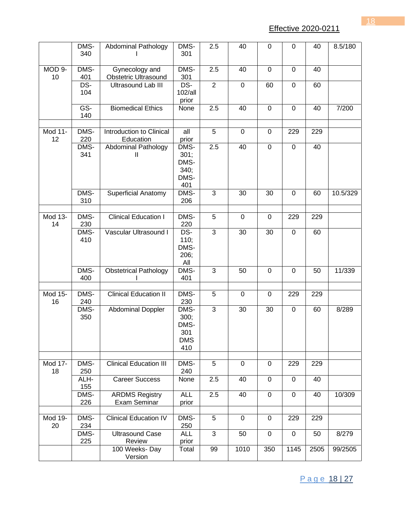Effective 2020-0211

|               | DMS-<br>340 | <b>Abdominal Pathology</b>                 | DMS-<br>301                                 | 2.5            | 40             | $\mathbf 0$    | 0            | 40   | 8.5/180  |
|---------------|-------------|--------------------------------------------|---------------------------------------------|----------------|----------------|----------------|--------------|------|----------|
| MOD 9-<br>10  | DMS-<br>401 | Gynecology and<br>Obstetric Ultrasound     | DMS-<br>301                                 | 2.5            | 40             | $\mathbf 0$    | $\mathbf 0$  | 40   |          |
|               | DS-<br>104  | <b>Ultrasound Lab III</b>                  | DS-<br>102/all<br>prior                     | $\overline{2}$ | $\mathbf 0$    | 60             | $\mathbf 0$  | 60   |          |
|               | GS-<br>140  | <b>Biomedical Ethics</b>                   | None                                        | 2.5            | 40             | $\overline{0}$ | $\mathbf{0}$ | 40   | 7/200    |
| Mod 11-<br>12 | DMS-<br>220 | Introduction to Clinical<br>Education      | all<br>prior                                | 5              | $\overline{0}$ | $\mathbf 0$    | 229          | 229  |          |
|               | DMS-<br>341 | <b>Abdominal Pathology</b><br>$\mathbf{H}$ | DMS-<br>301;<br>DMS-<br>340;<br>DMS-<br>401 | 2.5            | 40             | $\overline{0}$ | $\mathbf{0}$ | 40   |          |
|               | DMS-<br>310 | <b>Superficial Anatomy</b>                 | DMS-<br>206                                 | 3              | 30             | 30             | 0            | 60   | 10.5/329 |
| Mod 13-<br>14 | DMS-<br>230 | <b>Clinical Education I</b>                | DMS-<br>220                                 | 5              | 0              | 0              | 229          | 229  |          |
|               | DMS-<br>410 | Vascular Ultrasound I                      | DS-<br>110;<br>DMS-<br>206;<br>All          | 3              | 30             | 30             | $\mathbf 0$  | 60   |          |
|               | DMS-<br>400 | <b>Obstetrical Pathology</b>               | DMS-<br>401                                 | 3              | 50             | $\mathbf 0$    | $\mathbf 0$  | 50   | 11/339   |
| Mod 15-<br>16 | DMS-<br>240 | <b>Clinical Education II</b>               | DMS-<br>230                                 | 5              | $\mathbf 0$    | $\mathbf 0$    | 229          | 229  |          |
|               | DMS-<br>350 | Abdominal Doppler                          | DMS-<br>300;<br>DMS-<br>301<br>DMS<br>410   | 3              | 30             | 30             | $\mathbf 0$  | 60   | 8/289    |
| Mod 17-<br>18 | DMS-<br>250 | <b>Clinical Education III</b>              | DMS-<br>240                                 | 5              | 0              | 0              | 229          | 229  |          |
|               | ALH-<br>155 | <b>Career Success</b>                      | None                                        | 2.5            | 40             | $\mathbf 0$    | 0            | 40   |          |
|               | DMS-<br>226 | <b>ARDMS Registry</b><br>Exam Seminar      | <b>ALL</b><br>prior                         | 2.5            | 40             | $\mathbf 0$    | $\mathbf 0$  | 40   | 10/309   |
| Mod 19-<br>20 | DMS-<br>234 | <b>Clinical Education IV</b>               | DMS-<br>250                                 | 5              | $\mathbf 0$    | 0              | 229          | 229  |          |
|               | DMS-<br>225 | <b>Ultrasound Case</b><br>Review           | <b>ALL</b><br>prior                         | 3              | 50             | $\mathbf 0$    | $\mathbf 0$  | 50   | 8/279    |
|               |             | 100 Weeks-Day<br>Version                   | Total                                       | 99             | 1010           | 350            | 1145         | 2505 | 99/2505  |

Page 18 | 27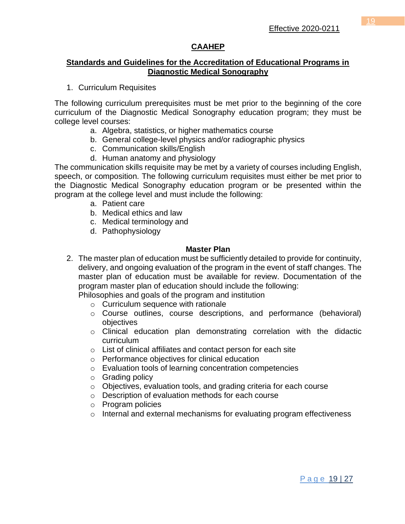# **CAAHEP**

#### **Standards and Guidelines for the Accreditation of Educational Programs in Diagnostic Medical Sonography**

1. Curriculum Requisites

The following curriculum prerequisites must be met prior to the beginning of the core curriculum of the Diagnostic Medical Sonography education program; they must be college level courses:

- a. Algebra, statistics, or higher mathematics course
- b. General college-level physics and/or radiographic physics
- c. Communication skills/English
- d. Human anatomy and physiology

The communication skills requisite may be met by a variety of courses including English, speech, or composition. The following curriculum requisites must either be met prior to the Diagnostic Medical Sonography education program or be presented within the program at the college level and must include the following:

- a. Patient care
- b. Medical ethics and law
- c. Medical terminology and
- d. Pathophysiology

#### **Master Plan**

2. The master plan of education must be sufficiently detailed to provide for continuity, delivery, and ongoing evaluation of the program in the event of staff changes. The master plan of education must be available for review. Documentation of the program master plan of education should include the following:

Philosophies and goals of the program and institution

- $\circ$  Curriculum sequence with rationale
- o Course outlines, course descriptions, and performance (behavioral) objectives
- o Clinical education plan demonstrating correlation with the didactic curriculum
- o List of clinical affiliates and contact person for each site
- o Performance objectives for clinical education
- o Evaluation tools of learning concentration competencies
- o Grading policy
- o Objectives, evaluation tools, and grading criteria for each course
- o Description of evaluation methods for each course
- o Program policies
- $\circ$  Internal and external mechanisms for evaluating program effectiveness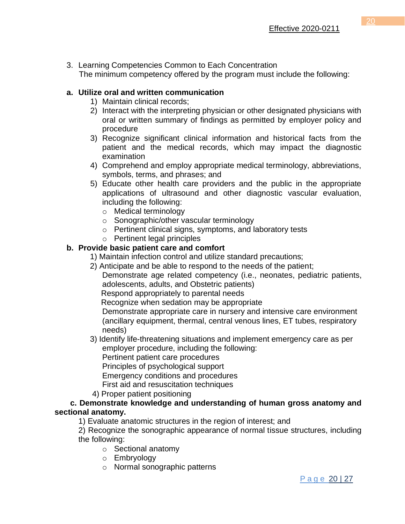3. Learning Competencies Common to Each Concentration The minimum competency offered by the program must include the following:

# **a. Utilize oral and written communication**

- 1) Maintain clinical records;
- 2) Interact with the interpreting physician or other designated physicians with oral or written summary of findings as permitted by employer policy and procedure
- 3) Recognize significant clinical information and historical facts from the patient and the medical records, which may impact the diagnostic examination
- 4) Comprehend and employ appropriate medical terminology, abbreviations, symbols, terms, and phrases; and
- 5) Educate other health care providers and the public in the appropriate applications of ultrasound and other diagnostic vascular evaluation, including the following:
	- o Medical terminology
	- o Sonographic/other vascular terminology
	- o Pertinent clinical signs, symptoms, and laboratory tests
	- o Pertinent legal principles

# **b. Provide basic patient care and comfort**

- 1) Maintain infection control and utilize standard precautions;
- 2) Anticipate and be able to respond to the needs of the patient;

Demonstrate age related competency (i.e., neonates, pediatric patients, adolescents, adults, and Obstetric patients)

Respond appropriately to parental needs

Recognize when sedation may be appropriate

Demonstrate appropriate care in nursery and intensive care environment (ancillary equipment, thermal, central venous lines, ET tubes, respiratory needs)

 3) Identify life-threatening situations and implement emergency care as per employer procedure, including the following:

Pertinent patient care procedures

Principles of psychological support

Emergency conditions and procedures

First aid and resuscitation techniques

4) Proper patient positioning

## **c. Demonstrate knowledge and understanding of human gross anatomy and sectional anatomy.**

1) Evaluate anatomic structures in the region of interest; and

2) Recognize the sonographic appearance of normal tissue structures, including the following:

- o Sectional anatomy
- o Embryology
- o Normal sonographic patterns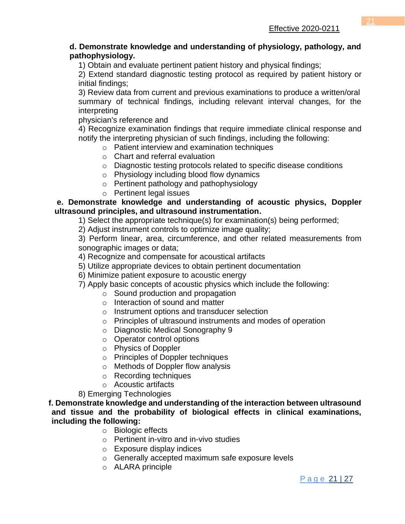#### **d. Demonstrate knowledge and understanding of physiology, pathology, and pathophysiology.**

1) Obtain and evaluate pertinent patient history and physical findings;

2) Extend standard diagnostic testing protocol as required by patient history or initial findings;

3) Review data from current and previous examinations to produce a written/oral summary of technical findings, including relevant interval changes, for the interpreting

physician's reference and

4) Recognize examination findings that require immediate clinical response and notify the interpreting physician of such findings, including the following:

- o Patient interview and examination techniques
- $\circ$  Chart and referral evaluation
- o Diagnostic testing protocols related to specific disease conditions
- o Physiology including blood flow dynamics
- o Pertinent pathology and pathophysiology
- o Pertinent legal issues

#### **e. Demonstrate knowledge and understanding of acoustic physics, Doppler ultrasound principles, and ultrasound instrumentation.**

1) Select the appropriate technique(s) for examination(s) being performed;

2) Adjust instrument controls to optimize image quality;

3) Perform linear, area, circumference, and other related measurements from sonographic images or data;

4) Recognize and compensate for acoustical artifacts

- 5) Utilize appropriate devices to obtain pertinent documentation
- 6) Minimize patient exposure to acoustic energy

7) Apply basic concepts of acoustic physics which include the following:

- o Sound production and propagation
	- o Interaction of sound and matter
	- o Instrument options and transducer selection
- o Principles of ultrasound instruments and modes of operation
- o Diagnostic Medical Sonography 9
- o Operator control options
- o Physics of Doppler
- o Principles of Doppler techniques
- o Methods of Doppler flow analysis
- o Recording techniques
- o Acoustic artifacts

8) Emerging Technologies

**f. Demonstrate knowledge and understanding of the interaction between ultrasound and tissue and the probability of biological effects in clinical examinations, including the following:**

- o Biologic effects
- o Pertinent in-vitro and in-vivo studies
- o Exposure display indices
- o Generally accepted maximum safe exposure levels
- o ALARA principle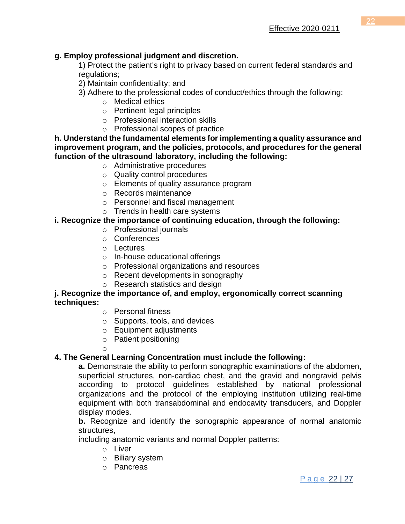# **g. Employ professional judgment and discretion.**

1) Protect the patient's right to privacy based on current federal standards and regulations;

2) Maintain confidentiality; and

- 3) Adhere to the professional codes of conduct/ethics through the following:
	- o Medical ethics
	- o Pertinent legal principles
	- o Professional interaction skills
	- o Professional scopes of practice

**h. Understand the fundamental elements for implementing a quality assurance and improvement program, and the policies, protocols, and procedures for the general function of the ultrasound laboratory, including the following:**

- o Administrative procedures
- o Quality control procedures
- o Elements of quality assurance program
- o Records maintenance
- o Personnel and fiscal management
- o Trends in health care systems

## **i. Recognize the importance of continuing education, through the following:**

- o Professional journals
- o Conferences
- o Lectures
- o In-house educational offerings
- o Professional organizations and resources
- o Recent developments in sonography
- o Research statistics and design

#### **j. Recognize the importance of, and employ, ergonomically correct scanning techniques:**

- o Personal fitness
- o Supports, tools, and devices
- o Equipment adjustments
- o Patient positioning

o

## **4. The General Learning Concentration must include the following:**

**a.** Demonstrate the ability to perform sonographic examinations of the abdomen, superficial structures, non-cardiac chest, and the gravid and nongravid pelvis according to protocol guidelines established by national professional organizations and the protocol of the employing institution utilizing real-time equipment with both transabdominal and endocavity transducers, and Doppler display modes.

**b.** Recognize and identify the sonographic appearance of normal anatomic structures,

including anatomic variants and normal Doppler patterns:

- o Liver
- o Biliary system
- o Pancreas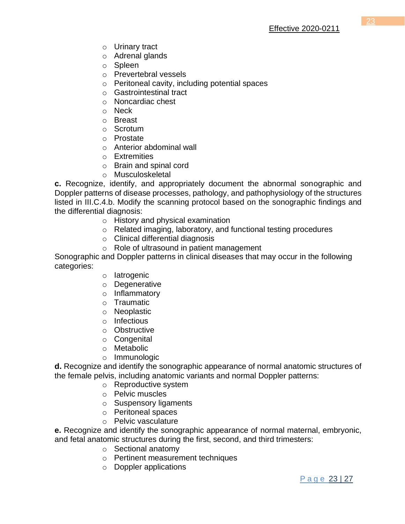- o Urinary tract
- o Adrenal glands
- o Spleen
- o Prevertebral vessels
- o Peritoneal cavity, including potential spaces
- o Gastrointestinal tract
- o Noncardiac chest
- o Neck
- o Breast
- o Scrotum
- o Prostate
- o Anterior abdominal wall
- o Extremities
- o Brain and spinal cord
- o Musculoskeletal

**c.** Recognize, identify, and appropriately document the abnormal sonographic and Doppler patterns of disease processes, pathology, and pathophysiology of the structures listed in III.C.4.b. Modify the scanning protocol based on the sonographic findings and the differential diagnosis:

- o History and physical examination
- o Related imaging, laboratory, and functional testing procedures
- o Clinical differential diagnosis
- o Role of ultrasound in patient management

Sonographic and Doppler patterns in clinical diseases that may occur in the following categories:

- o Iatrogenic
- o Degenerative
- o Inflammatory
- o Traumatic
- o Neoplastic
- o Infectious
- o Obstructive
- o Congenital
- o Metabolic
- o Immunologic

**d.** Recognize and identify the sonographic appearance of normal anatomic structures of the female pelvis, including anatomic variants and normal Doppler patterns:

- o Reproductive system
- o Pelvic muscles
- o Suspensory ligaments
- o Peritoneal spaces
- o Pelvic vasculature

**e.** Recognize and identify the sonographic appearance of normal maternal, embryonic, and fetal anatomic structures during the first, second, and third trimesters:

- o Sectional anatomy
- o Pertinent measurement techniques
- o Doppler applications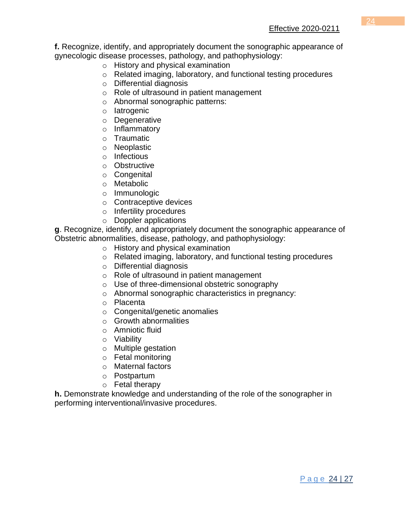**f.** Recognize, identify, and appropriately document the sonographic appearance of gynecologic disease processes, pathology, and pathophysiology:

- o History and physical examination
- o Related imaging, laboratory, and functional testing procedures
- o Differential diagnosis
- o Role of ultrasound in patient management
- o Abnormal sonographic patterns:
- o Iatrogenic
- o Degenerative
- o Inflammatory
- o Traumatic
- o Neoplastic
- o Infectious
- o Obstructive
- o Congenital
- o Metabolic
- o Immunologic
- o Contraceptive devices
- o Infertility procedures
- o Doppler applications

**g**. Recognize, identify, and appropriately document the sonographic appearance of Obstetric abnormalities, disease, pathology, and pathophysiology:

- o History and physical examination
- o Related imaging, laboratory, and functional testing procedures
- o Differential diagnosis
- o Role of ultrasound in patient management
- o Use of three-dimensional obstetric sonography
- o Abnormal sonographic characteristics in pregnancy:
- o Placenta
- o Congenital/genetic anomalies
- $\circ$  Growth abnormalities
- o Amniotic fluid
- o Viability
- o Multiple gestation
- o Fetal monitoring
- o Maternal factors
- o Postpartum
- o Fetal therapy

**h.** Demonstrate knowledge and understanding of the role of the sonographer in performing interventional/invasive procedures.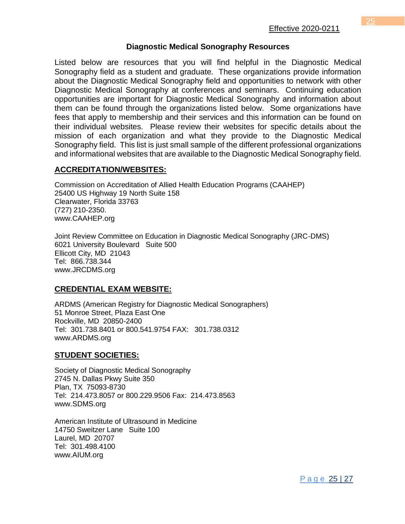#### **Diagnostic Medical Sonography Resources**

Listed below are resources that you will find helpful in the Diagnostic Medical Sonography field as a student and graduate. These organizations provide information about the Diagnostic Medical Sonography field and opportunities to network with other Diagnostic Medical Sonography at conferences and seminars. Continuing education opportunities are important for Diagnostic Medical Sonography and information about them can be found through the organizations listed below. Some organizations have fees that apply to membership and their services and this information can be found on their individual websites. Please review their websites for specific details about the mission of each organization and what they provide to the Diagnostic Medical Sonography field. This list is just small sample of the different professional organizations and informational websites that are available to the Diagnostic Medical Sonography field.

#### **ACCREDITATION/WEBSITES:**

Commission on Accreditation of Allied Health Education Programs (CAAHEP) 25400 US Highway 19 North Suite 158 Clearwater, Florida 33763 (727) 210-2350. [www.CAAHEP.org](http://www.caahep.org/)

Joint Review Committee on Education in Diagnostic Medical Sonography (JRC-DMS) 6021 University Boulevard Suite 500 Ellicott City, MD 21043 Tel: 866.738.344 [www.JRCDMS.org](http://www.jrcdms.org/)

## **CREDENTIAL EXAM WEBSITE:**

ARDMS (American Registry for Diagnostic Medical Sonographers) 51 Monroe Street, Plaza East One Rockville, MD 20850-2400 Tel: 301.738.8401 or 800.541.9754 FAX: 301.738.0312 [www.ARDMS.org](http://www.ardms.org/)

## **STUDENT SOCIETIES:**

Society of Diagnostic Medical Sonography 2745 N. Dallas Pkwy Suite 350 Plan, TX 75093-8730 Tel: 214.473.8057 or 800.229.9506 Fax: 214.473.8563 [www.SDMS.org](http://www.sdms.org/)

American Institute of Ultrasound in Medicine 14750 Sweitzer Lane Suite 100 Laurel, MD 20707 Tel: 301.498.4100 [www.AIUM.org](http://www.aium.org/)

P a g e 25 | 27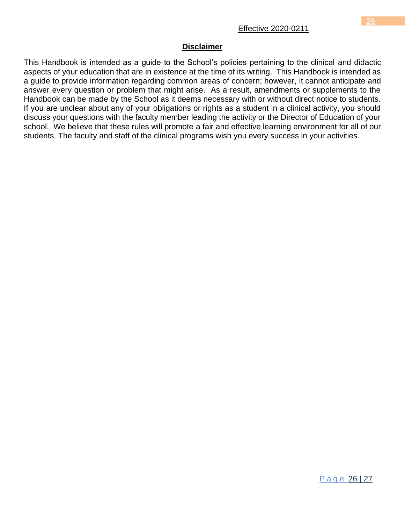#### **Disclaimer**

This Handbook is intended as a guide to the School's policies pertaining to the clinical and didactic aspects of your education that are in existence at the time of its writing. This Handbook is intended as a guide to provide information regarding common areas of concern; however, it cannot anticipate and answer every question or problem that might arise. As a result, amendments or supplements to the Handbook can be made by the School as it deems necessary with or without direct notice to students. If you are unclear about any of your obligations or rights as a student in a clinical activity, you should discuss your questions with the faculty member leading the activity or the Director of Education of your school. We believe that these rules will promote a fair and effective learning environment for all of our students. The faculty and staff of the clinical programs wish you every success in your activities.